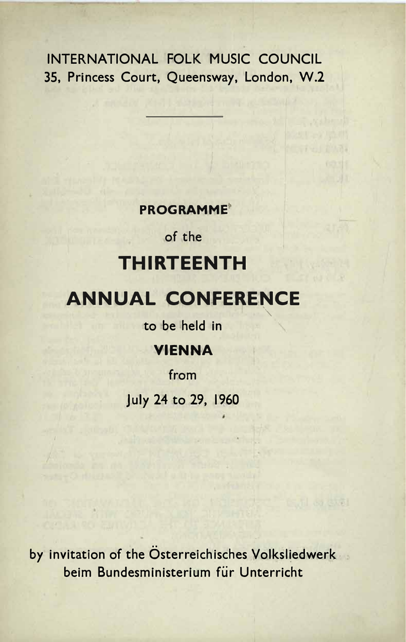INTERNATIONAL FOLK MUSIC COUNCIL **35, Princess Court, Queensway, London, W.2** 

## $PROGRAMME<sup>°</sup>$

of the

# **THIRTEENTH**

# **ANNUAL CONFERENCE**

 $\mathbf{t}$  **o** be held in

## **+
M VIENNA**

from **G>KMM FCM-M M July 24 to 29, 1960**

**by invitation of the Osterreichisches Volksliedwerk 049AM GB34EA@B9EF4D@GAM5HDM \*BF4DD926FM beim Bundesministerium fEir Unterricht**

GILBI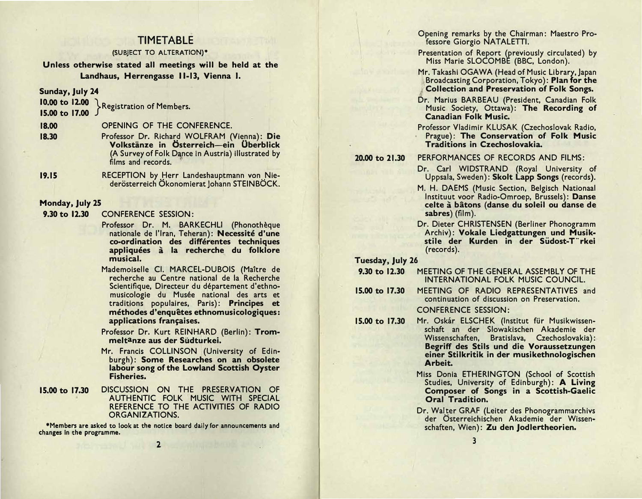## **TIMETABLE**

#### (SUBJECT TO ALTERATION)\*

Unless otherwise stated all meetings will be held at the Landhaus, Herrengasse 11-13, Vienna I.

Sunday, July 24

10.00 to 12.00 Registration of Members.

15.00 to 17.00

18.00 OPENING OF THE CONFERENCE.

- Professor Dr. Richard WOLFRAM (Vienna): Die 18.30 Volkstänze in Österreich-ein Überblick (A Survey of Folk Dance in Austria) illustrated by films and records.
- $19.15$ RECEPTION by Herr Landeshauptmann von Niederösterreich Ökonomierat Johann STEINBÖCK.

#### Monday, July 25

 $9.30 \text{ to } 12.30$ **CONFERENCE SESSION:** 

- Professor Dr. M. BARKECHLI (Phonothèque nationale de l'Iran. Teheran): Necessité d'une co-ordination des différentes techniques appliquées à la recherche du folklore musical.
- Mademoiselle Cl. MARCEL-DUBOIS (Maître de recherche au Centre national de la Recherche Scientifique, Directeur du département d'ethnomusicologie du Musée national des arts et traditions populaires, Paris): Principes et méthodes d'enquêtes ethnomusicologiques: applications françaises.

Professor Dr. Kurt REINHARD (Berlin): Trommeltanze aus der Südturkei.

Mr. Francis COLLINSON (University of Edinburgh): Some Researches on an obsolete labour song of the Lowland Scottish Oyster **Fisheries.** 

#### 15.00 to 17.30 DISCUSSION ON THE PRESERVATION OF AUTHENTIC FOLK MUSIC WITH SPECIAL REFERENCE TO THE ACTIVITIES OF RADIO **ORGANIZATIONS.**

\*Members are asked to look at the notice board daily for announcements and changes in the programme.  $2 \nightharpoonup$ 

Opening remarks by the Chairman: Maestro Professore Giorgio NATALETTI.

Presentation of Report (previously circulated) by Miss Marie SLOCOMBE (BBC, London).

- Mr. Takashi OGAWA (Head of Music Library, Japan Broadcasting Corporation, Tokyo): Plan for the **Collection and Preservation of Folk Songs.**
- Dr. Marius BARBEAU (President, Canadian Folk Music Society, Ottawa): The Recording of **Canadian Folk Music.**
- Professor Vladimir KLUSAK (Czechoslovak Radio, Prague): The Conservation of Folk Music **Traditions in Czechoslovakia.**

20.00 to 21.30

#### PERFORMANCES OF RECORDS AND FILMS:

- Dr. Carl WIDSTRAND (Royal University of Uppsala, Sweden): Skolt Lapp Songs (records).
- M. H. DAEMS (Music Section, Belgisch Nationaal Instituut voor Radio-Omroep, Brussels): Danse celte à bâtons (danse du soleil ou danse de sabres) (film).
- Dr. Dieter CHRISTENSEN (Berliner Phonogramm Archiv): Vokale Liedgattungen und Musikstile der Kurden in der Südost-T"rkei (records).

Tuesday, July 26

- 9.30 to 12.30 MEETING OF THE GENERAL ASSEMBLY OF THE INTERNATIONAL FOLK MUSIC COUNCIL.
- 15.00 to 17.30 MEETING OF RADIO REPRESENTATIVES and continuation of discussion on Preservation. **CONFERENCE SESSION:**
- 15.00 to 17.30 Mr. Oskár ELSCHEK (Institut für Musikwissenschaft an der Slowakischen Akademie der Wissenschaften, Bratislava, Czechoslovakia): Begriff des Stils und die Voraussetzungen einer Stilkritik in der musikethnologischen Arbeit.
	- Miss Donia ETHERINGTON (School of Scottish Studies, University of Edinburgh): A Living Composer of Songs in a Scottish-Gaelic Oral Tradition.
	- Dr. Walter GRAF (Leiter des Phonogrammarchivs der Österreichischen Akademie der Wissenschaften, Wien): Zu den Jodlertheorien.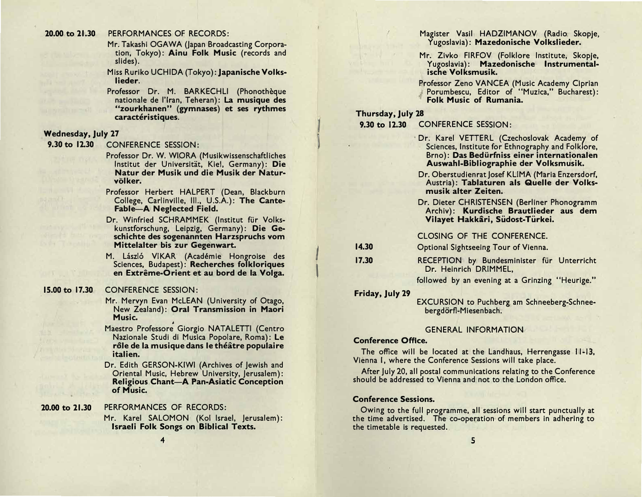#### PERFORMANCES OF RECORDS: 20.00 to 21.30

Mr. Takashi OGAWA (Japan Broadcasting Corporation, Tokyo): Ainu Folk Music (records and slides).

Miss Ruriko UCHIDA (Tokyo): Japanische Volkslieder.

Professor Dr. M. BARKECHLI (Phonothèque nationale de l'Iran, Teheran): La musique des "zourkhanen" (gymnases) et ses rythmes caractéristiques.

#### **Wednesday, July 27**

9.30 to 12.30 CONFERENCE SESSION:

- Professor Dr. W. WIORA (Musikwissenschaftliches Institut der Universität, Kiel, Germany): Die Natur der Musik und die Musik der Naturvölker.
- Professor Herbert HALPERT (Dean, Blackburn College, Carlinville, III., U.S.A.): The Cante-**Fable-A Neglected Field.**
- Dr. Winfried SCHRAMMEK (Institut für Volkskunstforschung, Leipzig, Germany): Die Geschichte des sogenannten Harzspruchs vom Mittelalter bis zur Gegenwart.
- M. László VIKAR (Académie Hongroise des Sciences, Budapest): Recherches folkloriques en Extrême-Orient et au bord de la Volga.

#### 15.00 to 17.30 **CONFERENCE SESSION:**

- Mr. Mervyn Evan McLEAN (University of Otago, New Zealand): Oral Transmission in Maori Music.
- Maestro Professore Giorgio NATALETTI (Centro Nazionale Studi di Musica Popolare, Roma): Le rôle de la musique dans le théâtre populaire italien.
- Dr. Edith GERSON-KIWI (Archives of Jewish and Oriental Music, Hebrew University, Jerusalem): **Religious Chant-A Pan-Asiatic Conception** of Music.

20.00 to 21.30

### PERFORMANCES OF RECORDS:

Mr. Karel SALOMON (Kol Israel, Jerusalem): Israeli Folk Songs on Biblical Texts.

Magister Vasil HADZIMANOV (Radio Skopje, Yugoslavia): Mazedonische Volkslieder.

- Mr. Zivko FIRFOV (Folklore Institute, Skopje, Yugoslavia): Mazedonische Instrumentalische Volksmusik.
- Professor Zeno VANCEA (Music Academy Ciprian Porumbescu, Editor of "Muzica," Bucharest): Folk Music of Rumania.

#### Thursday, July 28

**CONFERENCE SESSION:** 9.30 to 12.30

> Dr. Karel VETTERL (Czechoslovak Academy of Sciences, Institute for Ethnography and Folklore, Brno): Das Bedürfniss einer internationalen Auswahl-Bibliographie der Volksmusik.

- Dr. Oberstudienrat Josef KLIMA (Maria Enzersdorf, Austria): Tablaturen als Quelle der Volksmusik alter Zeiten.
- Dr. Dieter CHRISTENSEN (Berliner Phonogramm Archiv): Kurdische Brautlieder aus dem Vilayet Hakkâri, Südost-Türkei.

#### CLOSING OF THE CONFERENCE.

14.30 Optional Sightseeing Tour of Vienna.

17.30 RECEPTION by Bundesminister für Unterricht Dr. Heinrich DRIMMEL,

followed by an evening at a Grinzing "Heurige."

#### Friday, July 29

**EXCURSION** to Puchberg am Schneeberg-Schneebergdörfl-Miesenbach.

#### **GENERAL INFORMATION**

#### **Conference Office.**

The office will be located at the Landhaus, Herrengasse 11-13, Vienna I, where the Conference Sessions will take place.

After July 20, all postal communications relating to the Conference should be addressed to Vienna and not to the London office.

#### **Conference Sessions.**

Owing to the full programme, all sessions will start punctually at the time advertised. The co-operation of members in adhering to the timetable is requested.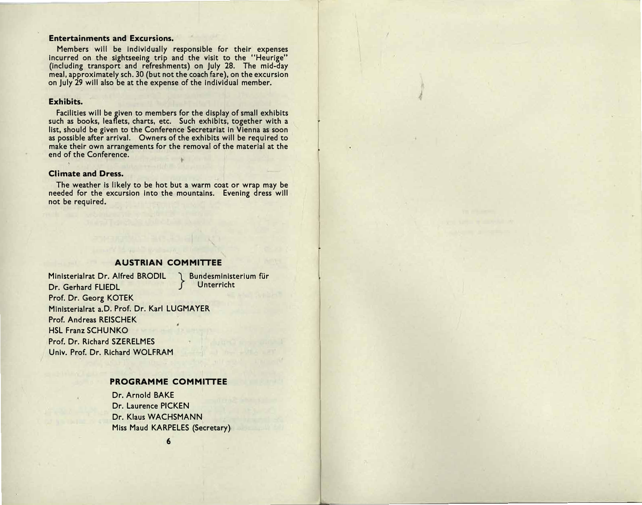#### **Entertainments and Excursions.**

Members will be individually responsible for their expenses incurred on the sightseeing trip and the visit to the "Heurige" (including transport and refreshments) on July 28. The mid-day meal, approximately sch. 30 (but not the coach fare), on the excursion on July 29 will also be at the expense of the individual member.

#### **Exhibits.**

Facilities will be given to members for the display of small exhibits such as books, leaflets, charts, etc. Such exhibits, together with a list, should be given to the Conference Secretariat in Vienna as soon as possible after arrival. Owners of the exhibits will be required to make their own arrangements for the removal of the material at the end of the Conference.

#### **Climate and Dress.**

The weather is likely to be hot but a warm coat or wrap may be needed for the excursion into the mountains. Evening dress will not be required.

#### **AUSTRIAN COMMITTEE**

Ministerialrat Dr. Alfred BRODIL Dr. Gerhard FLIEDL Prof. Dr. Georg KOTEK Ministerialrat a.D. Prof. Dr. Karl LUGMAYER Prof. Andreas REISCHEK **HSL Franz SCHUNKO** Prof. Dr. Richard SZERELMES Univ. Prof. Dr. Richard WOLFRAM

Bundesministerium für Unterricht

#### PROGRAMME COMMITTEE

Dr. Arnold BAKE Dr. Laurence PICKEN Dr. Klaus WACHSMANN Miss Maud KARPELES (Secretary)

 $6\phantom{1}6$